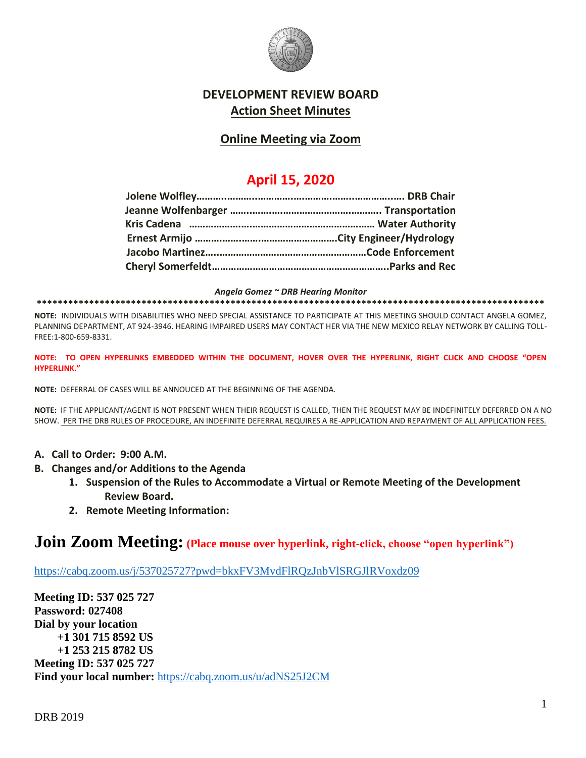

## **DEVELOPMENT REVIEW BOARD Action Sheet Minutes**

## **Online Meeting via Zoom**

# **April 15, 2020**

*Angela Gomez ~ DRB Hearing Monitor*

**\*\*\*\*\*\*\*\*\*\*\*\*\*\*\*\*\*\*\*\*\*\*\*\*\*\*\*\*\*\*\*\*\*\*\*\*\*\*\*\*\*\*\*\*\*\*\*\*\*\*\*\*\*\*\*\*\*\*\*\*\*\*\*\*\*\*\*\*\*\*\*\*\*\*\*\*\*\*\*\*\*\*\*\*\*\*\*\*\*\*\*\*\*\*\*\*\***

**NOTE:** INDIVIDUALS WITH DISABILITIES WHO NEED SPECIAL ASSISTANCE TO PARTICIPATE AT THIS MEETING SHOULD CONTACT ANGELA GOMEZ, PLANNING DEPARTMENT, AT 924-3946. HEARING IMPAIRED USERS MAY CONTACT HER VIA THE NEW MEXICO RELAY NETWORK BY CALLING TOLL-FREE:1-800-659-8331.

**NOTE: TO OPEN HYPERLINKS EMBEDDED WITHIN THE DOCUMENT, HOVER OVER THE HYPERLINK, RIGHT CLICK AND CHOOSE "OPEN HYPERLINK."**

**NOTE:** DEFERRAL OF CASES WILL BE ANNOUCED AT THE BEGINNING OF THE AGENDA.

**NOTE:** IF THE APPLICANT/AGENT IS NOT PRESENT WHEN THEIR REQUEST IS CALLED, THEN THE REQUEST MAY BE INDEFINITELY DEFERRED ON A NO SHOW. PER THE DRB RULES OF PROCEDURE, AN INDEFINITE DEFERRAL REQUIRES A RE-APPLICATION AND REPAYMENT OF ALL APPLICATION FEES.

- **A. Call to Order: 9:00 A.M.**
- **B. Changes and/or Additions to the Agenda**
	- **1. Suspension of the Rules to Accommodate a Virtual or Remote Meeting of the Development Review Board.**
	- **2. Remote Meeting Information:**

# **Join Zoom Meeting: (Place mouse over hyperlink, right-click, choose "open hyperlink")**

<https://cabq.zoom.us/j/537025727?pwd=bkxFV3MvdFlRQzJnbVlSRGJlRVoxdz09>

**Meeting ID: 537 025 727 Password: 027408 Dial by your location +1 301 715 8592 US +1 253 215 8782 US Meeting ID: 537 025 727 Find your local number:** <https://cabq.zoom.us/u/adNS25J2CM>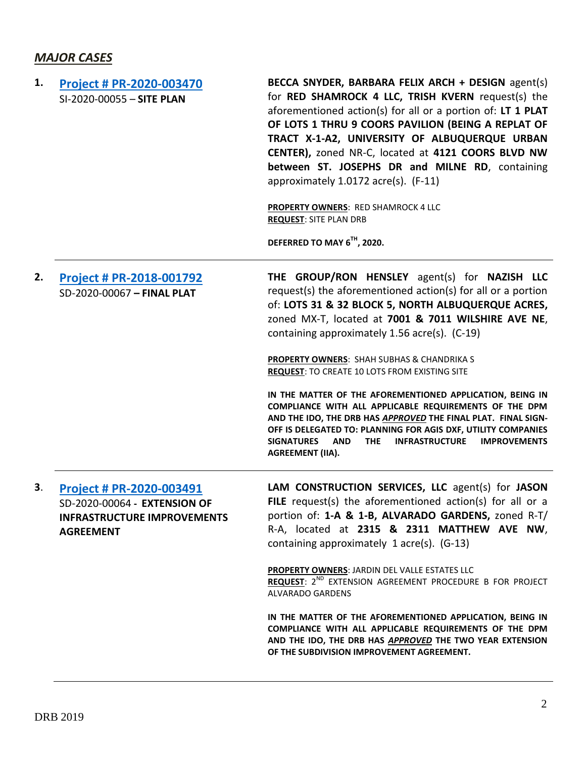# *MAJOR CASES*

| 1. | <b>Project # PR-2020-003470</b><br>SI-2020-00055 - SITE PLAN                                                       | BECCA SNYDER, BARBARA FELIX ARCH + DESIGN agent(s)<br>for RED SHAMROCK 4 LLC, TRISH KVERN request(s) the<br>aforementioned action(s) for all or a portion of: LT 1 PLAT<br>OF LOTS 1 THRU 9 COORS PAVILION (BEING A REPLAT OF<br>TRACT X-1-A2, UNIVERSITY OF ALBUQUERQUE URBAN<br>CENTER), zoned NR-C, located at 4121 COORS BLVD NW<br>between ST. JOSEPHS DR and MILNE RD, containing<br>approximately 1.0172 acre(s). (F-11)<br>PROPERTY OWNERS: RED SHAMROCK 4 LLC<br><b>REQUEST: SITE PLAN DRB</b><br>DEFERRED TO MAY 6 <sup>TH</sup> , 2020.                                                                                                                                                                                                    |
|----|--------------------------------------------------------------------------------------------------------------------|-------------------------------------------------------------------------------------------------------------------------------------------------------------------------------------------------------------------------------------------------------------------------------------------------------------------------------------------------------------------------------------------------------------------------------------------------------------------------------------------------------------------------------------------------------------------------------------------------------------------------------------------------------------------------------------------------------------------------------------------------------|
| 2. | Project # PR-2018-001792<br>SD-2020-00067 - FINAL PLAT                                                             | THE GROUP/RON HENSLEY agent(s) for NAZISH LLC<br>request(s) the aforementioned action(s) for all or a portion<br>of: LOTS 31 & 32 BLOCK 5, NORTH ALBUQUERQUE ACRES,<br>zoned MX-T, located at 7001 & 7011 WILSHIRE AVE NE,<br>containing approximately 1.56 acre(s). (C-19)<br>PROPERTY OWNERS: SHAH SUBHAS & CHANDRIKA S<br><b>REQUEST: TO CREATE 10 LOTS FROM EXISTING SITE</b><br>IN THE MATTER OF THE AFOREMENTIONED APPLICATION, BEING IN<br>COMPLIANCE WITH ALL APPLICABLE REQUIREMENTS OF THE DPM<br>AND THE IDO, THE DRB HAS APPROVED THE FINAL PLAT. FINAL SIGN-<br>OFF IS DELEGATED TO: PLANNING FOR AGIS DXF, UTILITY COMPANIES<br>INFRASTRUCTURE IMPROVEMENTS<br><b>SIGNATURES</b><br><b>AND</b><br><b>THE</b><br><b>AGREEMENT (IIA).</b> |
| 3. | Project # PR-2020-003491<br>SD-2020-00064 - EXTENSION OF<br><b>INFRASTRUCTURE IMPROVEMENTS</b><br><b>AGREEMENT</b> | LAM CONSTRUCTION SERVICES, LLC agent(s) for JASON<br>FILE request(s) the aforementioned action(s) for all or a<br>portion of: 1-A & 1-B, ALVARADO GARDENS, zoned R-T/<br>R-A, located at 2315 & 2311 MATTHEW AVE NW,<br>containing approximately 1 acre(s). (G-13)<br><b>PROPERTY OWNERS: JARDIN DEL VALLE ESTATES LLC</b><br>REQUEST: 2 <sup>ND</sup> EXTENSION AGREEMENT PROCEDURE B FOR PROJECT<br>ALVARADO GARDENS<br>IN THE MATTER OF THE AFOREMENTIONED APPLICATION, BEING IN<br>COMPLIANCE WITH ALL APPLICABLE REQUIREMENTS OF THE DPM<br>AND THE IDO, THE DRB HAS APPROVED THE TWO YEAR EXTENSION<br>OF THE SUBDIVISION IMPROVEMENT AGREEMENT.                                                                                                |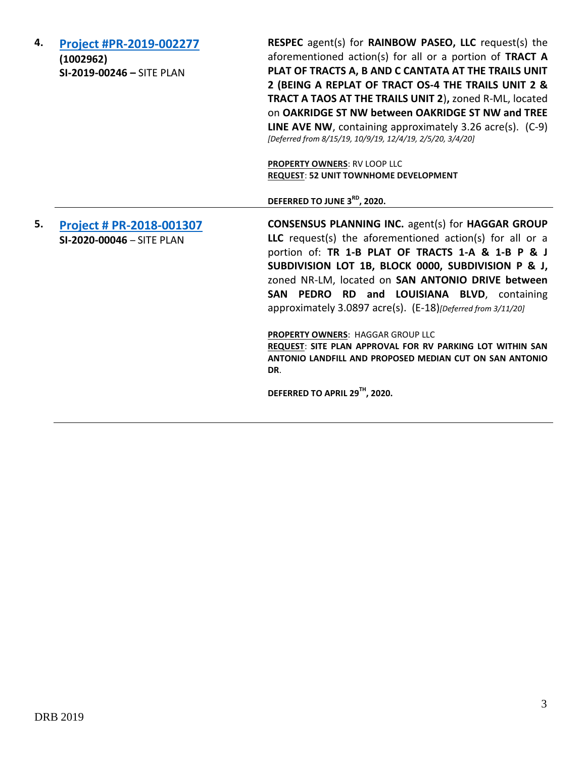| 4. | Project #PR-2019-002277<br>(1002962)<br>SI-2019-00246 - SITE PLAN | <b>RESPEC</b> agent(s) for <b>RAINBOW PASEO, LLC</b> request(s) the<br>aforementioned action(s) for all or a portion of TRACT A<br>PLAT OF TRACTS A, B AND C CANTATA AT THE TRAILS UNIT<br>2 (BEING A REPLAT OF TRACT OS-4 THE TRAILS UNIT 2 &<br><b>TRACT A TAOS AT THE TRAILS UNIT 2), zoned R-ML, located</b><br>on OAKRIDGE ST NW between OAKRIDGE ST NW and TREE<br><b>LINE AVE NW, containing approximately 3.26 acre(s).</b> $(C-9)$<br>[Deferred from 8/15/19, 10/9/19, 12/4/19, 2/5/20, 3/4/20]<br>PROPERTY OWNERS: RV LOOP LLC |
|----|-------------------------------------------------------------------|------------------------------------------------------------------------------------------------------------------------------------------------------------------------------------------------------------------------------------------------------------------------------------------------------------------------------------------------------------------------------------------------------------------------------------------------------------------------------------------------------------------------------------------|
|    |                                                                   | <b>REQUEST: 52 UNIT TOWNHOME DEVELOPMENT</b>                                                                                                                                                                                                                                                                                                                                                                                                                                                                                             |
|    |                                                                   | DEFERRED TO JUNE 3RD, 2020.                                                                                                                                                                                                                                                                                                                                                                                                                                                                                                              |
| 5. | Project # PR-2018-001307<br>SI-2020-00046 - SITE PLAN             | <b>CONSENSUS PLANNING INC. agent(s) for HAGGAR GROUP</b><br>LLC request(s) the aforementioned action(s) for all or a<br>portion of: TR 1-B PLAT OF TRACTS 1-A & 1-B P & J<br>SUBDIVISION LOT 1B, BLOCK 0000, SUBDIVISION P & J,<br>zoned NR-LM, located on SAN ANTONIO DRIVE between<br>SAN PEDRO RD and LOUISIANA BLVD, containing<br>approximately 3.0897 acre(s). (E-18)[Deferred from 3/11/20]                                                                                                                                       |
|    |                                                                   | PROPERTY OWNERS: HAGGAR GROUP LLC<br>REQUEST: SITE PLAN APPROVAL FOR RV PARKING LOT WITHIN SAN<br>ANTONIO LANDFILL AND PROPOSED MEDIAN CUT ON SAN ANTONIO<br>DR.                                                                                                                                                                                                                                                                                                                                                                         |
|    |                                                                   | DEFERRED TO APRIL 29TH, 2020.                                                                                                                                                                                                                                                                                                                                                                                                                                                                                                            |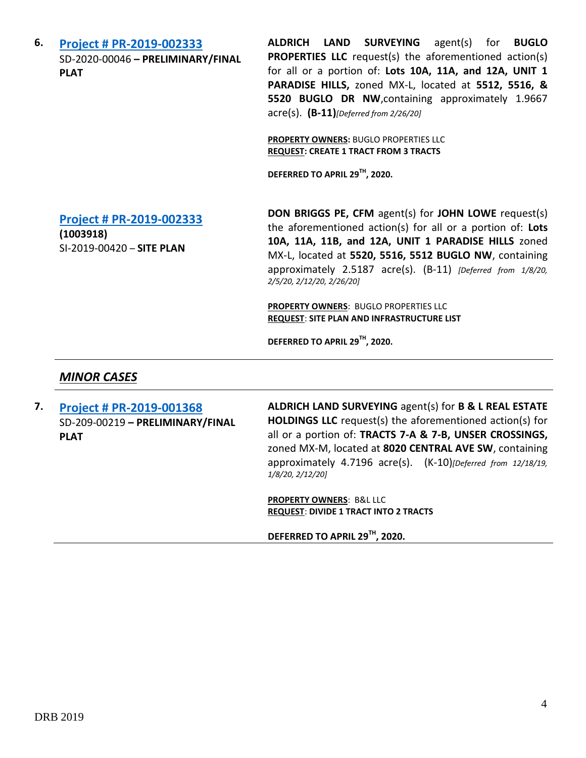**6. [Project # PR-2019-002333](http://data.cabq.gov/government/planning/DRB/PR-2019-002333/DRB%20Submittals/PR-2019-002333_Feb_26_2020/Application/DRB%20Application%20-%20PR-2019-002333.pdf)** SD-2020-00046 **– PRELIMINARY/FINAL PLAT**

**ALDRICH LAND SURVEYING** agent(s) for **BUGLO PROPERTIES LLC** request(s) the aforementioned action(s) for all or a portion of: **Lots 10A, 11A, and 12A, UNIT 1 PARADISE HILLS,** zoned MX-L, located at **5512, 5516, & 5520 BUGLO DR NW**,containing approximately 1.9667 acre(s). **(B-11)***[Deferred from 2/26/20]*

**PROPERTY OWNERS:** BUGLO PROPERTIES LLC **REQUEST: CREATE 1 TRACT FROM 3 TRACTS**

**DEFERRED TO APRIL 29TH , 2020.**

**[Project # PR-2019-002333](http://data.cabq.gov/government/planning/DRB/PR-2019-002333/DRB%20Submittals/PR-2019-002333_Feb_26_2020_Supp/Application/)**

**(1003918)** SI-2019-00420 – **SITE PLAN** **DON BRIGGS PE, CFM** agent(s) for **JOHN LOWE** request(s) the aforementioned action(s) for all or a portion of: **Lots 10A, 11A, 11B, and 12A, UNIT 1 PARADISE HILLS** zoned MX-L, located at **5520, 5516, 5512 BUGLO NW**, containing approximately 2.5187 acre(s). (B-11) *[Deferred from 1/8/20, 2/5/20, 2/12/20, 2/26/20]*

**PROPERTY OWNERS**: BUGLO PROPERTIES LLC **REQUEST**: **SITE PLAN AND INFRASTRUCTURE LIST**

**DEFERRED TO APRIL 29TH , 2020.**

#### *MINOR CASES*

**7. [Project # PR-2019-001368](http://data.cabq.gov/government/planning/DRB/PR-2018-001368/DRB%20Submittals/)** SD-209-00219 **– PRELIMINARY/FINAL PLAT**

**ALDRICH LAND SURVEYING** agent(s) for **B & L REAL ESTATE HOLDINGS LLC** request(s) the aforementioned action(s) for all or a portion of: **TRACTS 7-A & 7-B, UNSER CROSSINGS,**  zoned MX-M, located at **8020 CENTRAL AVE SW**, containing approximately 4.7196 acre(s). (K-10)*[Deferred from 12/18/19, 1/8/20, 2/12/20]*

**PROPERTY OWNERS**: B&L LLC **REQUEST**: **DIVIDE 1 TRACT INTO 2 TRACTS**

**DEFERRED TO APRIL 29TH , 2020.**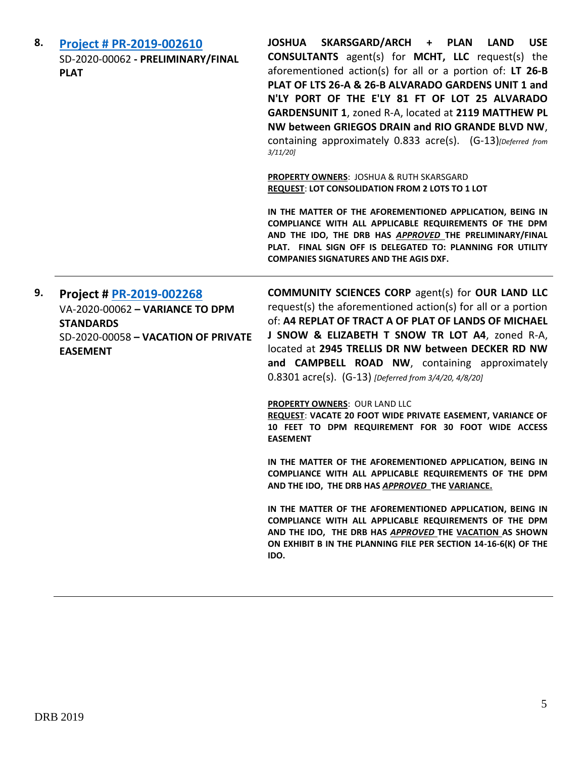| 8. | <b>Project # PR-2019-002610</b><br>SD-2020-00062 - PRELIMINARY/FINAL<br><b>PLAT</b>                                                       | JOSHUA SKARSGARD/ARCH + PLAN<br><b>LAND</b><br><b>USE</b><br><b>CONSULTANTS</b> agent(s) for <b>MCHT</b> , LLC request(s) the<br>aforementioned action(s) for all or a portion of: LT 26-B<br>PLAT OF LTS 26-A & 26-B ALVARADO GARDENS UNIT 1 and<br>N'LY PORT OF THE E'LY 81 FT OF LOT 25 ALVARADO<br>GARDENSUNIT 1, zoned R-A, located at 2119 MATTHEW PL<br>NW between GRIEGOS DRAIN and RIO GRANDE BLVD NW,<br>containing approximately 0.833 acre(s). (G-13) [Deferred from<br>$3/11/20$ ] |                                                                                                                                                                                                                                                                                               |
|----|-------------------------------------------------------------------------------------------------------------------------------------------|-------------------------------------------------------------------------------------------------------------------------------------------------------------------------------------------------------------------------------------------------------------------------------------------------------------------------------------------------------------------------------------------------------------------------------------------------------------------------------------------------|-----------------------------------------------------------------------------------------------------------------------------------------------------------------------------------------------------------------------------------------------------------------------------------------------|
|    |                                                                                                                                           | <b>PROPERTY OWNERS: JOSHUA &amp; RUTH SKARSGARD</b><br>REQUEST: LOT CONSOLIDATION FROM 2 LOTS TO 1 LOT                                                                                                                                                                                                                                                                                                                                                                                          |                                                                                                                                                                                                                                                                                               |
|    |                                                                                                                                           |                                                                                                                                                                                                                                                                                                                                                                                                                                                                                                 | IN THE MATTER OF THE AFOREMENTIONED APPLICATION, BEING IN<br>COMPLIANCE WITH ALL APPLICABLE REQUIREMENTS OF THE DPM<br>AND THE IDO, THE DRB HAS APPROVED THE PRELIMINARY/FINAL<br>PLAT. FINAL SIGN OFF IS DELEGATED TO: PLANNING FOR UTILITY<br><b>COMPANIES SIGNATURES AND THE AGIS DXF.</b> |
| 9. | Project # PR-2019-002268<br>VA-2020-00062 - VARIANCE TO DPM<br><b>STANDARDS</b><br>SD-2020-00058 - VACATION OF PRIVATE<br><b>EASEMENT</b> | <b>COMMUNITY SCIENCES CORP agent(s) for OUR LAND LLC</b><br>request(s) the aforementioned action(s) for all or a portion<br>of: A4 REPLAT OF TRACT A OF PLAT OF LANDS OF MICHAEL<br>J SNOW & ELIZABETH T SNOW TR LOT A4, zoned R-A,<br>located at 2945 TRELLIS DR NW between DECKER RD NW<br>and CAMPBELL ROAD NW, containing approximately<br>0.8301 acre(s). (G-13) [Deferred from 3/4/20, 4/8/20]                                                                                            |                                                                                                                                                                                                                                                                                               |
|    |                                                                                                                                           | <b>PROPERTY OWNERS: OUR LAND LLC</b><br>REQUEST: VACATE 20 FOOT WIDE PRIVATE EASEMENT, VARIANCE OF<br>10 FEET TO DPM REQUIREMENT FOR 30 FOOT WIDE ACCESS<br><b>EASEMENT</b>                                                                                                                                                                                                                                                                                                                     |                                                                                                                                                                                                                                                                                               |
|    |                                                                                                                                           | IN THE MATTER OF THE AFOREMENTIONED APPLICATION, BEING IN<br>COMPLIANCE WITH ALL APPLICABLE REQUIREMENTS OF THE DPM<br>AND THE IDO, THE DRB HAS APPROVED THE VARIANCE.                                                                                                                                                                                                                                                                                                                          |                                                                                                                                                                                                                                                                                               |
|    |                                                                                                                                           | IN THE MATTER OF THE AFOREMENTIONED APPLICATION, BEING IN<br>COMPLIANCE WITH ALL APPLICABLE REQUIREMENTS OF THE DPM<br>AND THE IDO, THE DRB HAS APPROVED THE VACATION AS SHOWN<br>ON EXHIBIT B IN THE PLANNING FILE PER SECTION 14-16-6(K) OF THE<br>IDO.                                                                                                                                                                                                                                       |                                                                                                                                                                                                                                                                                               |